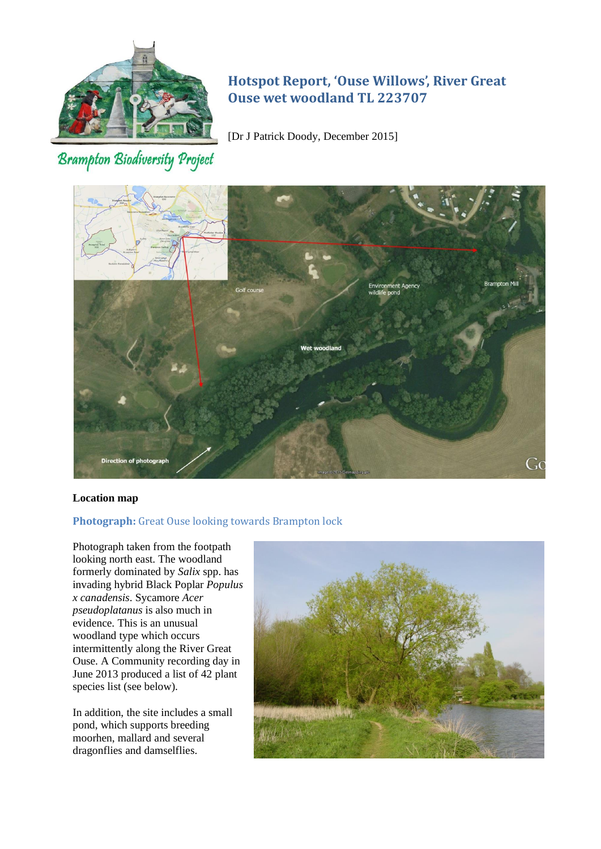

# **Hotspot Report, 'Ouse Willows', River Great Ouse wet woodland TL 223707**

[Dr J Patrick Doody, December 2015]

# **Brampton Biodiversity Project**



# **Location map**

# **Photograph:** Great Ouse looking towards Brampton lock

Photograph taken from the footpath looking north east. The woodland formerly dominated by *Salix* spp. has invading hybrid Black Poplar *Populus x canadensis*. Sycamore *Acer pseudoplatanus* is also much in evidence. This is an unusual woodland type which occurs intermittently along the River Great Ouse. A Community recording day in June 2013 produced a list of 42 plant species list (see below).

In addition, the site includes a small pond, which supports breeding moorhen, mallard and several dragonflies and damselflies.

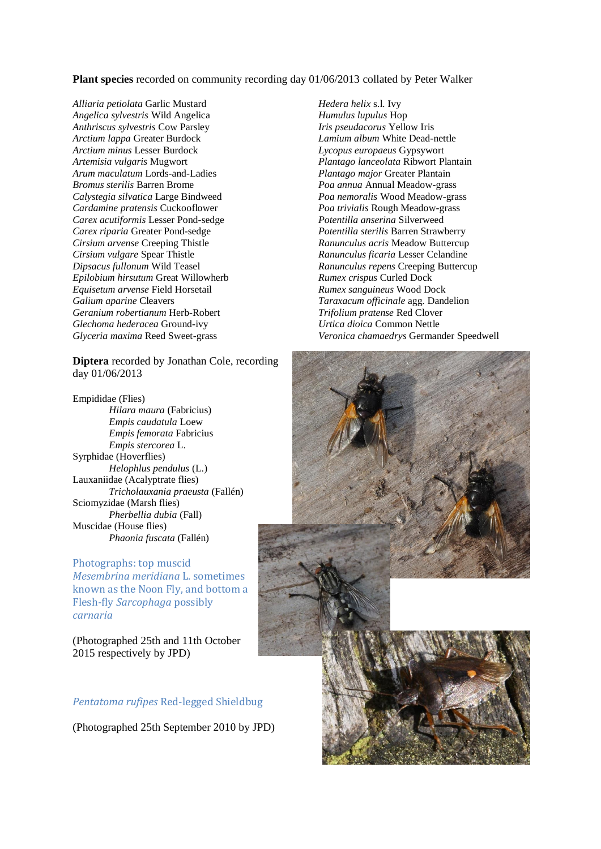**Plant species** recorded on community recording day 01/06/2013 collated by Peter Walker

*Alliaria petiolata* Garlic Mustard *Angelica sylvestris* Wild Angelica *Anthriscus sylvestris* Cow Parsley *Arctium lappa* Greater Burdock *Arctium minus* Lesser Burdock *Artemisia vulgaris* Mugwort *Arum maculatum* Lords-and-Ladies *Bromus sterilis* Barren Brome *Calystegia silvatica* Large Bindweed *Cardamine pratensis* Cuckooflower *Carex acutiformis* Lesser Pond-sedge *Carex riparia* Greater Pond-sedge *Cirsium arvense* Creeping Thistle *Cirsium vulgare* Spear Thistle *Dipsacus fullonum* Wild Teasel *Epilobium hirsutum* Great Willowherb *Equisetum arvense* Field Horsetail *Galium aparine* Cleavers *Geranium robertianum* Herb-Robert *Glechoma hederacea* Ground-ivy *Glyceria maxima* Reed Sweet-grass

**Diptera** recorded by Jonathan Cole, recording day 01/06/2013

Empididae (Flies) *Hilara maura* (Fabricius) *Empis caudatula* Loew *Empis femorata* Fabricius *Empis stercorea* L. Syrphidae (Hoverflies) *Helophlus pendulus* (L.) Lauxaniidae (Acalyptrate flies) *Tricholauxania praeusta* (Fallén) Sciomyzidae (Marsh flies) *Pherbellia dubia* (Fall) Muscidae (House flies) *Phaonia fuscata* (Fallén)

#### Photographs: top muscid

*Mesembrina meridiana* L. sometimes known as the Noon Fly, and bottom a Flesh-fly *Sarcophaga* possibly *carnaria*

(Photographed 25th and 11th October 2015 respectively by JPD)

# *Pentatoma rufipes* Red-legged Shieldbug

(Photographed 25th September 2010 by JPD)

*Hedera helix* s.l. Ivy *Humulus lupulus* Hop *Iris pseudacorus* Yellow Iris *Lamium album* White Dead-nettle *Lycopus europaeus* Gypsywort *Plantago lanceolata* Ribwort Plantain *Plantago major* Greater Plantain *Poa annua* Annual Meadow-grass *Poa nemoralis* Wood Meadow-grass *Poa trivialis* Rough Meadow-grass *Potentilla anserina* Silverweed *Potentilla sterilis* Barren Strawberry *Ranunculus acris* Meadow Buttercup *Ranunculus ficaria* Lesser Celandine *Ranunculus repens* Creeping Buttercup *Rumex crispus* Curled Dock *Rumex sanguineus* Wood Dock *Taraxacum officinale* agg. Dandelion *Trifolium pratense* Red Clover *Urtica dioica* Common Nettle *Veronica chamaedrys* Germander Speedwell